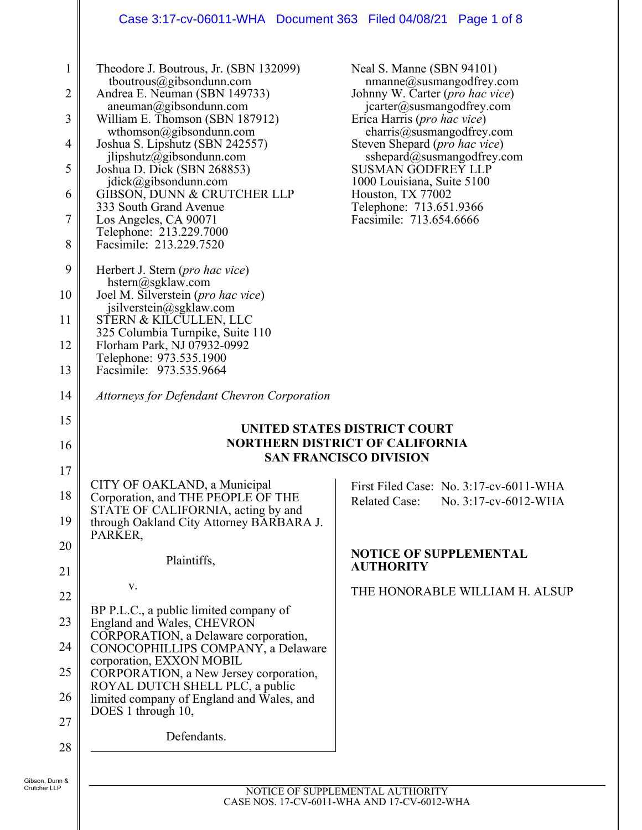## Case 3:17-cv-06011-WHA Document 363 Filed 04/08/21 Page 1 of 8

| $\mathbf{1}$   | Theodore J. Boutrous, Jr. (SBN 132099)<br>tboutrous@gibsondunn.com                                           | Neal S. Manne (SBN 94101)<br>$n$ manne@susmangodfrey.com                               |
|----------------|--------------------------------------------------------------------------------------------------------------|----------------------------------------------------------------------------------------|
| $\overline{2}$ | Andrea E. Neuman (SBN 149733)                                                                                | Johnny W. Carter (pro hac vice)                                                        |
| 3              | aneuman@gibsondunn.com<br>William E. Thomson (SBN 187912)                                                    | jcarter@susmangodfrey.com<br>Erica Harris (pro hac vice)                               |
| $\overline{4}$ | wthomson@gibsondunn.com<br>Joshua S. Lipshutz (SBN 242557)                                                   | eharris@susmangodfrey.com<br>Steven Shepard ( <i>pro hac vice</i> )                    |
| 5              | jlipshutz@gibsondunn.com<br>Joshua D. Dick (SBN 268853)                                                      | sshepard@susmangodfrey.com<br><b>SUSMAN GODFREY LLP</b>                                |
| 6              | $j \text{disk}(a)$ gibsondunn.com<br>GIBSON, DUNN & CRUTCHER LLP                                             | 1000 Louisiana, Suite 5100<br>Houston, TX 77002                                        |
| $\overline{7}$ | 333 South Grand Avenue<br>Los Angeles, CA 90071                                                              | Telephone: 713.651.9366<br>Facsimile: 713.654.6666                                     |
| 8              | Telephone: 213.229.7000<br>Facsimile: 213.229.7520                                                           |                                                                                        |
| 9              | Herbert J. Stern ( <i>pro hac vice</i> )                                                                     |                                                                                        |
| 10             | hstern@sgklaw.com<br>Joel M. Silverstein (pro hac vice)                                                      |                                                                                        |
| 11             | jsilverstein@sgklaw.com<br>STERN & KILCULLEN, LLC                                                            |                                                                                        |
| 12             | 325 Columbia Turnpike, Suite 110<br>Florham Park, NJ 07932-0992                                              |                                                                                        |
| 13             | Telephone: 973.535.1900<br>Facsimile: 973.535.9664                                                           |                                                                                        |
| 14             | Attorneys for Defendant Chevron Corporation                                                                  |                                                                                        |
| 15             |                                                                                                              | UNITED STATES DISTRICT COURT                                                           |
| 16             |                                                                                                              | <b>NORTHERN DISTRICT OF CALIFORNIA</b>                                                 |
| 17             |                                                                                                              | <b>SAN FRANCISCO DIVISION</b>                                                          |
| 18             | CITY OF OAKLAND, a Municipal<br>Corporation, and THE PEOPLE OF THE                                           | First Filed Case: No. 3:17-cv-6011-WHA<br><b>Related Case:</b><br>No. 3:17-cv-6012-WHA |
| 19             | STATE OF CALIFORNIA, acting by and<br>through Oakland City Attorney BARBARA J.<br>PARKER,                    |                                                                                        |
| 20             | Plaintiffs,                                                                                                  | <b>NOTICE OF SUPPLEMENTAL</b>                                                          |
| 21             | V.                                                                                                           | <b>AUTHORITY</b>                                                                       |
| 22             |                                                                                                              | THE HONORABLE WILLIAM H. ALSUP                                                         |
| 23             | BP P.L.C., a public limited company of<br>England and Wales, CHEVRON<br>CORPORATION, a Delaware corporation, |                                                                                        |
| 24             | CONOCOPHILLIPS COMPANY, a Delaware<br>corporation, EXXON MOBIL                                               |                                                                                        |
| 25             | CORPORATION, a New Jersey corporation,                                                                       |                                                                                        |
| 26             | ROYAL DUTCH SHELL PLC, a public<br>limited company of England and Wales, and<br>DOES 1 through 10,           |                                                                                        |
| 27             | Defendants.                                                                                                  |                                                                                        |
| 28             |                                                                                                              |                                                                                        |
|                |                                                                                                              |                                                                                        |

Ш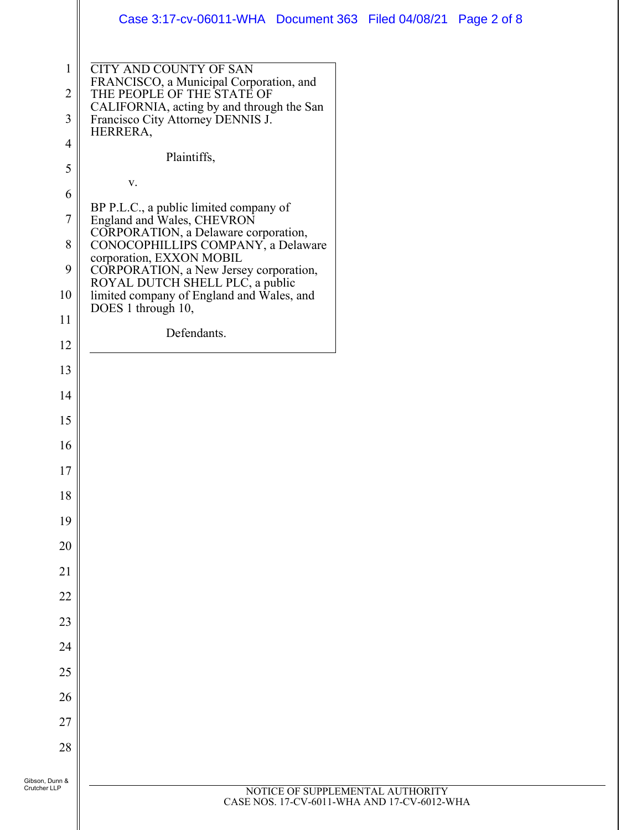|                                                                                    | Case 3:17-cv-06011-WHA Document 363 Filed 04/08/21 Page 2 of 8                                                                                                                                                                                                                                                                                                                              |           |  |
|------------------------------------------------------------------------------------|---------------------------------------------------------------------------------------------------------------------------------------------------------------------------------------------------------------------------------------------------------------------------------------------------------------------------------------------------------------------------------------------|-----------|--|
| $\mathbf{1}$<br>$\overline{2}$<br>3<br>$\overline{4}$<br>5<br>6<br>$\tau$<br>$8\,$ | <b>CITY AND COUNTY OF SAN</b><br>FRANCISCO, a Municipal Corporation, and<br>THE PEOPLE OF THE STATE OF<br>CALIFORNIA, acting by and through the San<br>Francisco City Attorney DENNIS J.<br>HERRERA,<br>Plaintiffs,<br>$\mathbf{V}$ .<br>BP P.L.C., a public limited company of<br>England and Wales, CHEVRON<br>CORPORATION, a Delaware corporation,<br>CONOCOPHILLIPS COMPANY, a Delaware |           |  |
| 9<br>10                                                                            | corporation, EXXON MOBIL<br>CORPORATION, a New Jersey corporation,<br>ROYAL DUTCH SHELL PLC, a public<br>limited company of England and Wales, and<br>DOES 1 through 10,                                                                                                                                                                                                                    |           |  |
| 11                                                                                 | Defendants.                                                                                                                                                                                                                                                                                                                                                                                 |           |  |
| 12<br>13                                                                           |                                                                                                                                                                                                                                                                                                                                                                                             |           |  |
| 14                                                                                 |                                                                                                                                                                                                                                                                                                                                                                                             |           |  |
| 15                                                                                 |                                                                                                                                                                                                                                                                                                                                                                                             |           |  |
| 16                                                                                 |                                                                                                                                                                                                                                                                                                                                                                                             |           |  |
|                                                                                    |                                                                                                                                                                                                                                                                                                                                                                                             |           |  |
| 17<br>18                                                                           |                                                                                                                                                                                                                                                                                                                                                                                             |           |  |
| 19                                                                                 |                                                                                                                                                                                                                                                                                                                                                                                             |           |  |
| 20                                                                                 |                                                                                                                                                                                                                                                                                                                                                                                             |           |  |
| 21                                                                                 |                                                                                                                                                                                                                                                                                                                                                                                             |           |  |
| 22                                                                                 |                                                                                                                                                                                                                                                                                                                                                                                             |           |  |
| 23                                                                                 |                                                                                                                                                                                                                                                                                                                                                                                             |           |  |
| 24                                                                                 |                                                                                                                                                                                                                                                                                                                                                                                             |           |  |
| 25                                                                                 |                                                                                                                                                                                                                                                                                                                                                                                             |           |  |
| 26                                                                                 |                                                                                                                                                                                                                                                                                                                                                                                             |           |  |
| 27                                                                                 |                                                                                                                                                                                                                                                                                                                                                                                             |           |  |
| 28                                                                                 |                                                                                                                                                                                                                                                                                                                                                                                             |           |  |
|                                                                                    |                                                                                                                                                                                                                                                                                                                                                                                             |           |  |
| Gibson, Dunn &<br>Crutcher LLP                                                     | NOTICE OF SUPPLEMENTA                                                                                                                                                                                                                                                                                                                                                                       | AUTHORITY |  |

 $\mathbf l$ Ι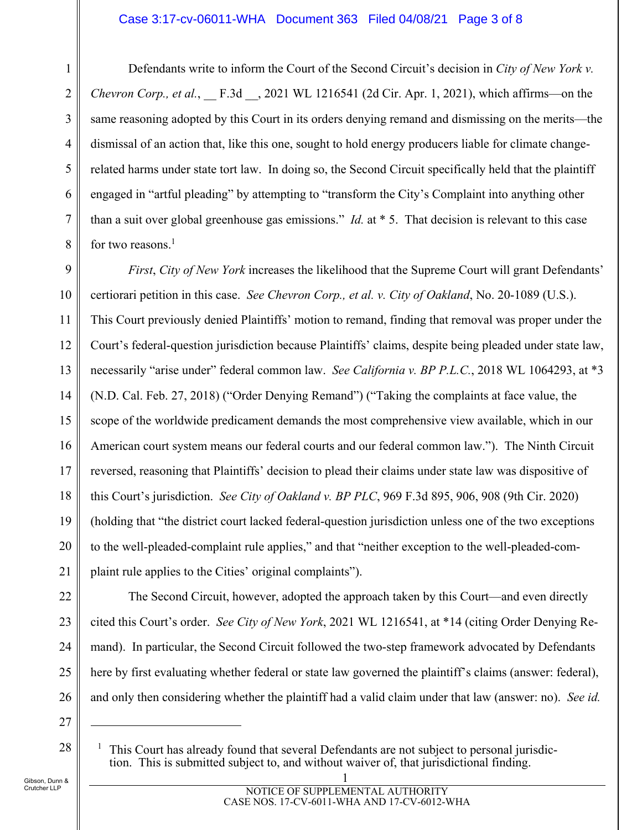Defendants write to inform the Court of the Second Circuit's decision in *City of New York v. Chevron Corp., et al.*, \_\_ F.3d \_\_, 2021 WL 1216541 (2d Cir. Apr. 1, 2021), which affirms—on the same reasoning adopted by this Court in its orders denying remand and dismissing on the merits—the dismissal of an action that, like this one, sought to hold energy producers liable for climate changerelated harms under state tort law. In doing so, the Second Circuit specifically held that the plaintiff engaged in "artful pleading" by attempting to "transform the City's Complaint into anything other than a suit over global greenhouse gas emissions." *Id.* at \* 5. That decision is relevant to this case for two reasons.<sup>1</sup>

9 10 11 12 13 14 15 16 17 18 19 20 21 *First*, *City of New York* increases the likelihood that the Supreme Court will grant Defendants' certiorari petition in this case. *See Chevron Corp., et al. v. City of Oakland*, No. 20-1089 (U.S.). This Court previously denied Plaintiffs' motion to remand, finding that removal was proper under the Court's federal-question jurisdiction because Plaintiffs' claims, despite being pleaded under state law, necessarily "arise under" federal common law. *See California v. BP P.L.C.*, 2018 WL 1064293, at \*3 (N.D. Cal. Feb. 27, 2018) ("Order Denying Remand") ("Taking the complaints at face value, the scope of the worldwide predicament demands the most comprehensive view available, which in our American court system means our federal courts and our federal common law."). The Ninth Circuit reversed, reasoning that Plaintiffs' decision to plead their claims under state law was dispositive of this Court's jurisdiction. *See City of Oakland v. BP PLC*, 969 F.3d 895, 906, 908 (9th Cir. 2020) (holding that "the district court lacked federal-question jurisdiction unless one of the two exceptions to the well-pleaded-complaint rule applies," and that "neither exception to the well-pleaded-complaint rule applies to the Cities' original complaints").

The Second Circuit, however, adopted the approach taken by this Court—and even directly cited this Court's order. *See City of New York*, 2021 WL 1216541, at \*14 (citing Order Denying Remand). In particular, the Second Circuit followed the two-step framework advocated by Defendants here by first evaluating whether federal or state law governed the plaintiff's claims (answer: federal), and only then considering whether the plaintiff had a valid claim under that law (answer: no). *See id.*

26 27

 $\overline{a}$ 

28

22

23

24

25

1

2

3

4

5

6

7

8

Gibson, Dunn & Crutcher LLP

<sup>1</sup> This Court has already found that several Defendants are not subject to personal jurisdiction. This is submitted subject to, and without waiver of, that jurisdictional finding.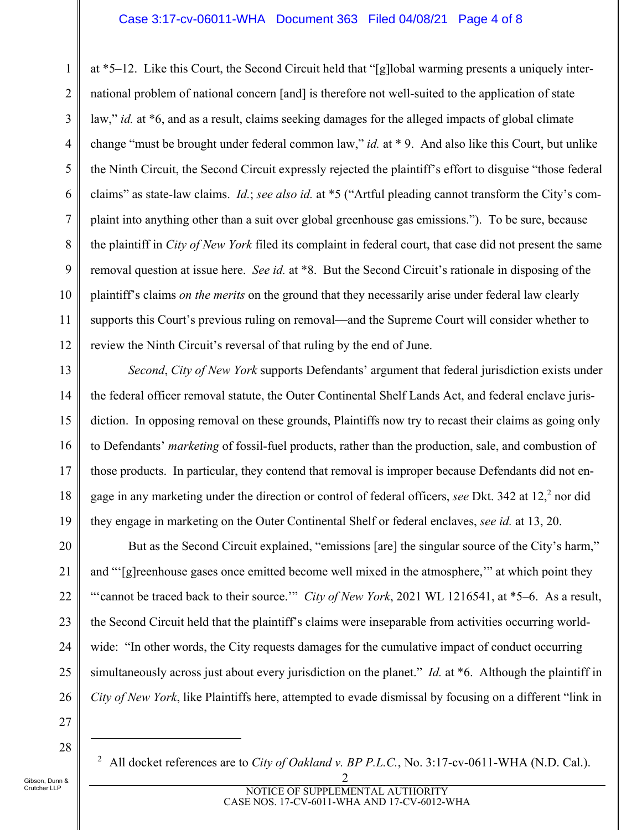#### Case 3:17-cv-06011-WHA Document 363 Filed 04/08/21 Page 4 of 8

1 2 3 4 5 6 7 8 9 10 11 12 at \*5–12. Like this Court, the Second Circuit held that "[g]lobal warming presents a uniquely international problem of national concern [and] is therefore not well-suited to the application of state law," *id.* at \*6, and as a result, claims seeking damages for the alleged impacts of global climate change "must be brought under federal common law," *id.* at \* 9. And also like this Court, but unlike the Ninth Circuit, the Second Circuit expressly rejected the plaintiff's effort to disguise "those federal claims" as state-law claims. *Id.*; *see also id.* at \*5 ("Artful pleading cannot transform the City's complaint into anything other than a suit over global greenhouse gas emissions."). To be sure, because the plaintiff in *City of New York* filed its complaint in federal court, that case did not present the same removal question at issue here. *See id.* at \*8. But the Second Circuit's rationale in disposing of the plaintiff's claims *on the merits* on the ground that they necessarily arise under federal law clearly supports this Court's previous ruling on removal—and the Supreme Court will consider whether to review the Ninth Circuit's reversal of that ruling by the end of June.

*Second*, *City of New York* supports Defendants' argument that federal jurisdiction exists under the federal officer removal statute, the Outer Continental Shelf Lands Act, and federal enclave jurisdiction. In opposing removal on these grounds, Plaintiffs now try to recast their claims as going only to Defendants' *marketing* of fossil-fuel products, rather than the production, sale, and combustion of those products. In particular, they contend that removal is improper because Defendants did not engage in any marketing under the direction or control of federal officers, see Dkt. 342 at 12,<sup>2</sup> nor did they engage in marketing on the Outer Continental Shelf or federal enclaves, *see id.* at 13, 20.

But as the Second Circuit explained, "emissions [are] the singular source of the City's harm," and "'[g]reenhouse gases once emitted become well mixed in the atmosphere,'" at which point they "'cannot be traced back to their source.'" *City of New York*, 2021 WL 1216541, at \*5–6. As a result, the Second Circuit held that the plaintiff's claims were inseparable from activities occurring worldwide: "In other words, the City requests damages for the cumulative impact of conduct occurring simultaneously across just about every jurisdiction on the planet." *Id.* at \*6. Although the plaintiff in *City of New York*, like Plaintiffs here, attempted to evade dismissal by focusing on a different "link in

27

 $\overline{a}$ 

28

13

14

15

16

17

18

19

20

21

22

23

24

25

26

<sup>2</sup> All docket references are to *City of Oakland v. BP P.L.C.*, No. 3:17-cv-0611-WHA (N.D. Cal.).

2

Gibson, Dunn & Crutcher LLP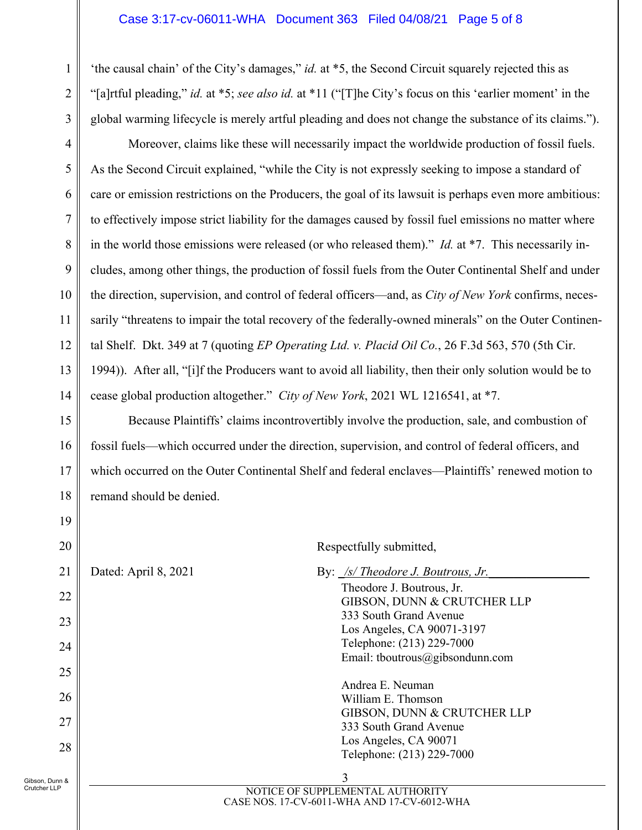'the causal chain' of the City's damages," *id.* at \*5, the Second Circuit squarely rejected this as "[a]rtful pleading," *id.* at \*5; *see also id.* at \*11 ("[T]he City's focus on this 'earlier moment' in the global warming lifecycle is merely artful pleading and does not change the substance of its claims.").

Moreover, claims like these will necessarily impact the worldwide production of fossil fuels. As the Second Circuit explained, "while the City is not expressly seeking to impose a standard of care or emission restrictions on the Producers, the goal of its lawsuit is perhaps even more ambitious: to effectively impose strict liability for the damages caused by fossil fuel emissions no matter where in the world those emissions were released (or who released them)." *Id.* at \*7. This necessarily includes, among other things, the production of fossil fuels from the Outer Continental Shelf and under the direction, supervision, and control of federal officers—and, as *City of New York* confirms, necessarily "threatens to impair the total recovery of the federally-owned minerals" on the Outer Continental Shelf. Dkt. 349 at 7 (quoting *EP Operating Ltd. v. Placid Oil Co.*, 26 F.3d 563, 570 (5th Cir. 1994)). After all, "[i]f the Producers want to avoid all liability, then their only solution would be to cease global production altogether." *City of New York*, 2021 WL 1216541, at \*7.

Because Plaintiffs' claims incontrovertibly involve the production, sale, and combustion of fossil fuels—which occurred under the direction, supervision, and control of federal officers, and which occurred on the Outer Continental Shelf and federal enclaves—Plaintiffs' renewed motion to remand should be denied.

Gibson, Dunn & Crutcher LLP

Respectfully submitted,

| 21   | Dated: April 8, 2021 | By: <u>/s/ Theodore J. Boutrous, Jr.</u>                                        |
|------|----------------------|---------------------------------------------------------------------------------|
| 22   |                      | Theodore J. Boutrous, Jr.<br>GIBSON, DUNN & CRUTCHER LLP                        |
| 23   |                      | 333 South Grand Avenue<br>Los Angeles, CA 90071-3197                            |
| 24   |                      | Telephone: (213) 229-7000<br>Email: tboutrous@gibsondunn.com                    |
| 25   |                      |                                                                                 |
| 26   |                      | Andrea E. Neuman<br>William E. Thomson                                          |
| 27   |                      | GIBSON, DUNN & CRUTCHER LLP<br>333 South Grand Avenue                           |
| 28   |                      | Los Angeles, CA 90071<br>Telephone: (213) 229-7000                              |
| ነከ & |                      | 3                                                                               |
|      |                      | NOTICE OF SUPPLEMENTAL AUTHORITY<br>CASE NOS. 17-CV-6011-WHA AND 17-CV-6012-WHA |

14

15

16

17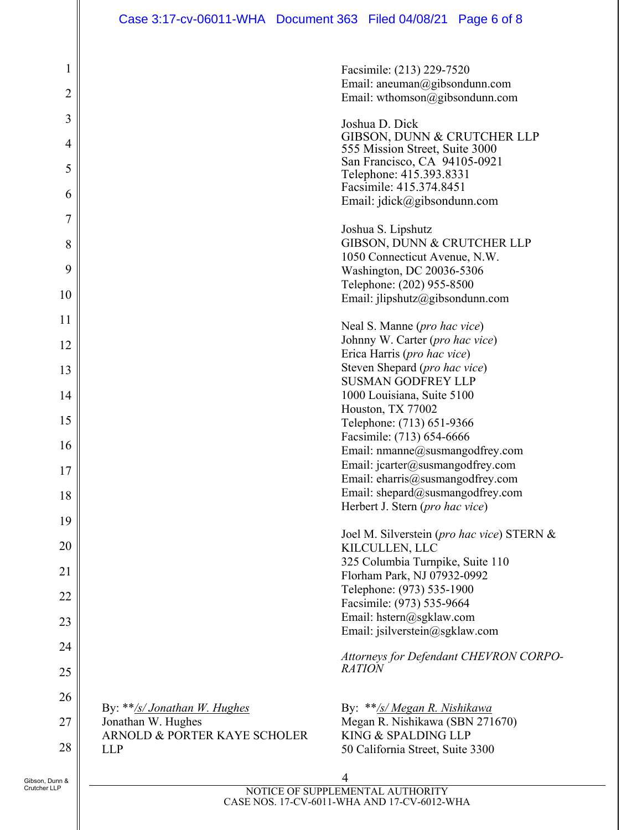|                                |                                                    | Facsimile: (213) 229-7520<br>Email: aneuman@gibsondunn.com                      |
|--------------------------------|----------------------------------------------------|---------------------------------------------------------------------------------|
| $\overline{2}$                 |                                                    | Email: wthomson@gibsondunn.com                                                  |
| 3<br>4                         |                                                    | Joshua D. Dick<br>GIBSON, DUNN & CRUTCHER LLP<br>555 Mission Street, Suite 3000 |
| 5                              |                                                    | San Francisco, CA 94105-0921<br>Telephone: 415.393.8331                         |
| 6                              |                                                    | Facsimile: 415.374.8451<br>Email: jdick@gibsondunn.com                          |
| $\overline{7}$                 |                                                    | Joshua S. Lipshutz                                                              |
| 8                              |                                                    | GIBSON, DUNN & CRUTCHER LLP<br>1050 Connecticut Avenue, N.W.                    |
| 9                              |                                                    | Washington, DC 20036-5306<br>Telephone: (202) 955-8500                          |
| 10                             |                                                    | Email: jlipshutz@gibsondunn.com                                                 |
| 11                             |                                                    | Neal S. Manne (pro hac vice)                                                    |
| 12                             |                                                    | Johnny W. Carter (pro hac vice)<br>Erica Harris (pro hac vice)                  |
| 13                             |                                                    | Steven Shepard (pro hac vice)                                                   |
| 14                             |                                                    | <b>SUSMAN GODFREY LLP</b><br>1000 Louisiana, Suite 5100                         |
| 15                             |                                                    | Houston, TX 77002<br>Telephone: (713) 651-9366                                  |
| 16                             |                                                    | Facsimile: (713) 654-6666                                                       |
|                                |                                                    | Email: nmanne@susmangodfrey.com<br>Email: jcarter@susmangodfrey.com             |
| 17                             |                                                    | Email: eharris@susmangodfrey.com                                                |
| 18                             |                                                    | Email: shepard@susmangodfrey.com<br>Herbert J. Stern (pro hac vice)             |
| 19                             |                                                    | Joel M. Silverstein (pro hac vice) STERN &                                      |
| 20                             |                                                    | KILCULLEN, LLC                                                                  |
| 21                             |                                                    | 325 Columbia Turnpike, Suite 110<br>Florham Park, NJ 07932-0992                 |
| 22                             |                                                    | Telephone: (973) 535-1900<br>Facsimile: (973) 535-9664                          |
| 23                             |                                                    | Email: hstern@sgklaw.com                                                        |
| 24                             |                                                    | Email: jsilverstein@sgklaw.com                                                  |
| 25                             |                                                    | Attorneys for Defendant CHEVRON CORPO-<br><b>RATION</b>                         |
| 26                             |                                                    |                                                                                 |
| 27                             | By: **/s/ Jonathan W. Hughes<br>Jonathan W. Hughes | By: **/s/ Megan R. Nishikawa<br>Megan R. Nishikawa (SBN 271670)                 |
|                                | ARNOLD & PORTER KAYE SCHOLER                       | KING & SPALDING LLP                                                             |
| 28                             | <b>LLP</b>                                         | 50 California Street, Suite 3300                                                |
| Gibson, Dunn &<br>Crutcher LLP |                                                    | MOTICE OF SUIDDI EMENTAL AUTHODITY                                              |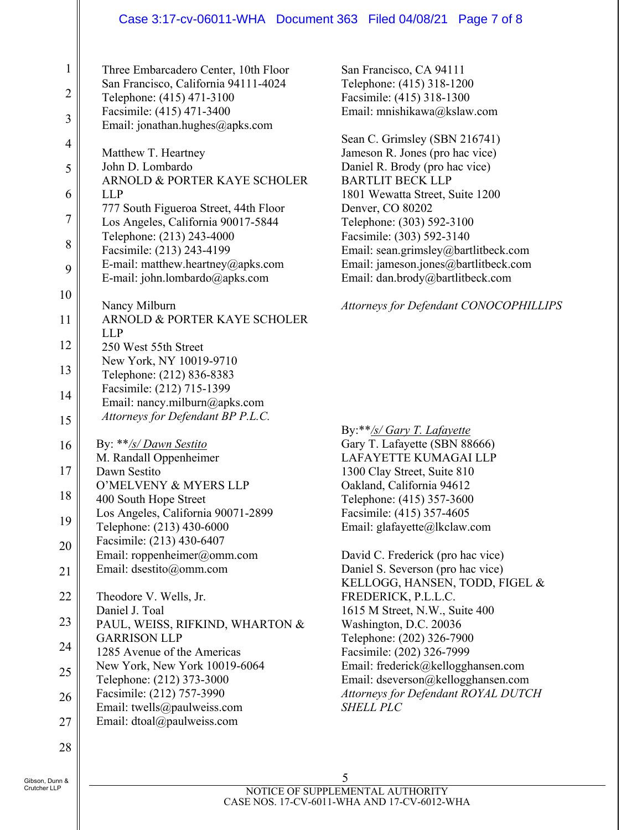#### Case 3:17-cv-06011-WHA Document 363 Filed 04/08/21 Page 7 of 8

| 1              | Three Embarcadero Center, 10th Floor                              |
|----------------|-------------------------------------------------------------------|
| $\overline{c}$ | San Francisco, California 94111-4024<br>Telephone: (415) 471-3100 |
|                | Facsimile: (415) 471-3400                                         |
| 3              | Email: jonathan.hughes@apks.com                                   |
| $\overline{4}$ | Matthew T. Heartney                                               |
| 5              | John D. Lombardo                                                  |
| 6              | ARNOLD & PORTER KAYE SCHOLER<br><b>LLP</b>                        |
|                | 777 South Figueroa Street, 44th Floor                             |
| $\overline{7}$ | Los Angeles, California 90017-5844                                |
| 8              | Telephone: (213) 243-4000<br>Facsimile: (213) 243-4199            |
| 9              | E-mail: matthew.heartney@apks.com                                 |
|                | E-mail: john.lombardo@apks.com                                    |
| 10             | Nancy Milburn                                                     |
| 11             | ARNOLD & PORTER KAYE SCHOLER                                      |
| 12             | LLP<br>250 West 55th Street                                       |
|                | New York, NY 10019-9710                                           |
| 13             | Telephone: (212) 836-8383                                         |
| 14             | Facsimile: (212) 715-1399<br>Email: nancy.milburn@apks.com        |
| 15             | Attorneys for Defendant BP P.L.C.                                 |
| 16             | By: **/s/ Dawn Sestito                                            |
| 17             | M. Randall Oppenheimer<br>Dawn Sestito                            |
|                | O'MELVENY & MYERS LLP                                             |
| 18             | 400 South Hope Street<br>Los Angeles, California 90071-2899       |
| 19             | Telephone: (213) 430-6000                                         |
| 20             | Facsimile: (213) 430-6407                                         |
| 21             | Email: roppenheimer@omm.com<br>Email: dsestito@omm.com            |
|                |                                                                   |
| 22             | Theodore V. Wells, Jr.<br>Daniel J. Toal                          |
| 23             | PAUL, WEISS, RIFKIND, WHARTON &                                   |
| 24             | <b>GARRISON LLP</b>                                               |
|                | 1285 Avenue of the Americas<br>New York, New York 10019-6064      |
| 25             | Telephone: (212) 373-3000                                         |
| 26             | Facsimile: (212) 757-3990                                         |
| 27             | Email: twells@paulweiss.com<br>Email: dtoal@paulweiss.com         |
|                |                                                                   |
| 28             |                                                                   |

San Francisco, CA 94111 Telephone: (415) 318-1200 Facsimile: (415) 318-1300 Email: mnishikawa@kslaw.com

Sean C. Grimsley (SBN 216741) Jameson R. Jones (pro hac vice) Daniel R. Brody (pro hac vice) BARTLIT BECK LLP 1801 Wewatta Street, Suite 1200 Denver, CO 80202 Telephone: (303) 592-3100 Facsimile: (303) 592-3140 Email: sean.grimsley@bartlitbeck.com Email: jameson.jones@bartlitbeck.com Email: dan.brody@bartlitbeck.com

*Attorneys for Defendant CONOCOPHILLIPS* 

### By:\*\**/s/ Gary T. Lafayette* Gary T. Lafayette (SBN 88666) LAFAYETTE KUMAGAI LLP 1300 Clay Street, Suite 810 Oakland, California 94612 Telephone: (415) 357-3600 Facsimile: (415) 357-4605 Email: glafayette@lkclaw.com

David C. Frederick (pro hac vice) Daniel S. Severson (pro hac vice) KELLOGG, HANSEN, TODD, FIGEL & FREDERICK, P.L.L.C. 1615 M Street, N.W., Suite 400 Washington, D.C. 20036 Telephone: (202) 326-7900 Facsimile: (202) 326-7999 Email: frederick@kellogghansen.com Email: dseverson@kellogghansen.com *Attorneys for Defendant ROYAL DUTCH SHELL PLC*